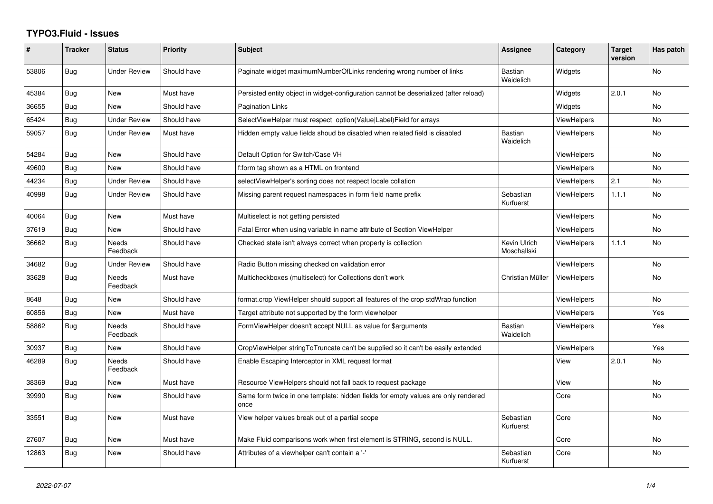## **TYPO3.Fluid - Issues**

| ∦     | <b>Tracker</b> | <b>Status</b>       | <b>Priority</b> | <b>Subject</b>                                                                            | Assignee                    | Category           | <b>Target</b><br>version | Has patch      |
|-------|----------------|---------------------|-----------------|-------------------------------------------------------------------------------------------|-----------------------------|--------------------|--------------------------|----------------|
| 53806 | Bug            | <b>Under Review</b> | Should have     | Paginate widget maximumNumberOfLinks rendering wrong number of links                      | <b>Bastian</b><br>Waidelich | Widgets            |                          | No             |
| 45384 | Bug            | <b>New</b>          | Must have       | Persisted entity object in widget-configuration cannot be deserialized (after reload)     |                             | Widgets            | 2.0.1                    | <b>No</b>      |
| 36655 | Bug            | New                 | Should have     | <b>Pagination Links</b>                                                                   |                             | Widgets            |                          | <b>No</b>      |
| 65424 | Bug            | <b>Under Review</b> | Should have     | SelectViewHelper must respect option(Value Label)Field for arrays                         |                             | ViewHelpers        |                          | <b>No</b>      |
| 59057 | Bug            | <b>Under Review</b> | Must have       | Hidden empty value fields shoud be disabled when related field is disabled                | Bastian<br>Waidelich        | <b>ViewHelpers</b> |                          | <b>No</b>      |
| 54284 | Bug            | <b>New</b>          | Should have     | Default Option for Switch/Case VH                                                         |                             | <b>ViewHelpers</b> |                          | <b>No</b>      |
| 49600 | Bug            | New                 | Should have     | f:form tag shown as a HTML on frontend                                                    |                             | ViewHelpers        |                          | <b>No</b>      |
| 44234 | Bug            | <b>Under Review</b> | Should have     | selectViewHelper's sorting does not respect locale collation                              |                             | <b>ViewHelpers</b> | 2.1                      | No             |
| 40998 | Bug            | <b>Under Review</b> | Should have     | Missing parent request namespaces in form field name prefix                               | Sebastian<br>Kurfuerst      | <b>ViewHelpers</b> | 1.1.1                    | <b>No</b>      |
| 40064 | Bug            | <b>New</b>          | Must have       | Multiselect is not getting persisted                                                      |                             | <b>ViewHelpers</b> |                          | N <sub>o</sub> |
| 37619 | <b>Bug</b>     | <b>New</b>          | Should have     | Fatal Error when using variable in name attribute of Section ViewHelper                   |                             | <b>ViewHelpers</b> |                          | <b>No</b>      |
| 36662 | Bug            | Needs<br>Feedback   | Should have     | Checked state isn't always correct when property is collection                            | Kevin Ulrich<br>Moschallski | <b>ViewHelpers</b> | 1.1.1                    | No             |
| 34682 | Bug            | <b>Under Review</b> | Should have     | Radio Button missing checked on validation error                                          |                             | <b>ViewHelpers</b> |                          | <b>No</b>      |
| 33628 | Bug            | Needs<br>Feedback   | Must have       | Multicheckboxes (multiselect) for Collections don't work                                  | Christian Müller            | <b>ViewHelpers</b> |                          | No             |
| 8648  | Bug            | New                 | Should have     | format.crop ViewHelper should support all features of the crop stdWrap function           |                             | <b>ViewHelpers</b> |                          | <b>No</b>      |
| 60856 | Bug            | New                 | Must have       | Target attribute not supported by the form viewhelper                                     |                             | <b>ViewHelpers</b> |                          | Yes            |
| 58862 | Bug            | Needs<br>Feedback   | Should have     | FormViewHelper doesn't accept NULL as value for \$arguments                               | Bastian<br>Waidelich        | <b>ViewHelpers</b> |                          | Yes            |
| 30937 | Bug            | <b>New</b>          | Should have     | CropViewHelper stringToTruncate can't be supplied so it can't be easily extended          |                             | <b>ViewHelpers</b> |                          | Yes            |
| 46289 | Bug            | Needs<br>Feedback   | Should have     | Enable Escaping Interceptor in XML request format                                         |                             | View               | 2.0.1                    | <b>No</b>      |
| 38369 | Bug            | <b>New</b>          | Must have       | Resource ViewHelpers should not fall back to request package                              |                             | View               |                          | <b>No</b>      |
| 39990 | Bug            | New                 | Should have     | Same form twice in one template: hidden fields for empty values are only rendered<br>once |                             | Core               |                          | No             |
| 33551 | Bug            | New                 | Must have       | View helper values break out of a partial scope                                           | Sebastian<br>Kurfuerst      | Core               |                          | <b>No</b>      |
| 27607 | Bug            | <b>New</b>          | Must have       | Make Fluid comparisons work when first element is STRING, second is NULL.                 |                             | Core               |                          | <b>No</b>      |
| 12863 | Bug            | New                 | Should have     | Attributes of a viewhelper can't contain a '-'                                            | Sebastian<br>Kurfuerst      | Core               |                          | <b>No</b>      |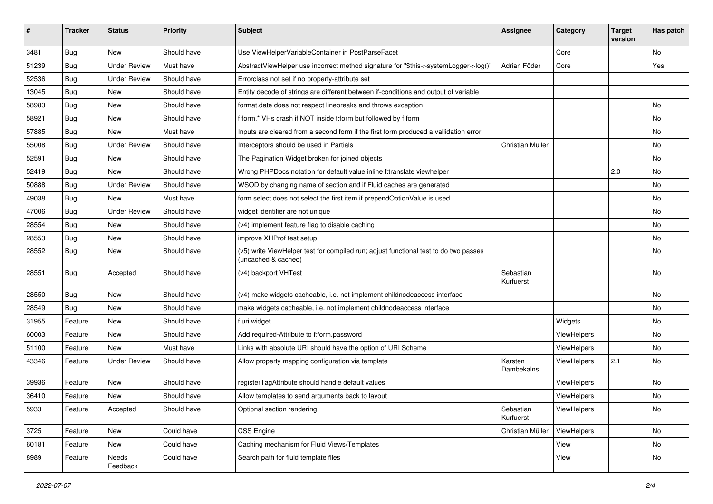| ∦     | <b>Tracker</b> | <b>Status</b>       | Priority    | Subject                                                                                                     | <b>Assignee</b>        | Category    | <b>Target</b><br>version | Has patch |
|-------|----------------|---------------------|-------------|-------------------------------------------------------------------------------------------------------------|------------------------|-------------|--------------------------|-----------|
| 3481  | Bug            | <b>New</b>          | Should have | Use ViewHelperVariableContainer in PostParseFacet                                                           |                        | Core        |                          | <b>No</b> |
| 51239 | <b>Bug</b>     | <b>Under Review</b> | Must have   | AbstractViewHelper use incorrect method signature for "\$this->systemLogger->log()"                         | Adrian Föder           | Core        |                          | Yes       |
| 52536 | <b>Bug</b>     | <b>Under Review</b> | Should have | Errorclass not set if no property-attribute set                                                             |                        |             |                          |           |
| 13045 | Bug            | <b>New</b>          | Should have | Entity decode of strings are different between if-conditions and output of variable                         |                        |             |                          |           |
| 58983 | Bug            | New                 | Should have | format.date does not respect linebreaks and throws exception                                                |                        |             |                          | No        |
| 58921 | Bug            | <b>New</b>          | Should have | f:form.* VHs crash if NOT inside f:form but followed by f:form                                              |                        |             |                          | <b>No</b> |
| 57885 | Bug            | New                 | Must have   | Inputs are cleared from a second form if the first form produced a vallidation error                        |                        |             |                          | No        |
| 55008 | <b>Bug</b>     | Under Review        | Should have | Interceptors should be used in Partials                                                                     | Christian Müller       |             |                          | No        |
| 52591 | Bug            | New                 | Should have | The Pagination Widget broken for joined objects                                                             |                        |             |                          | No        |
| 52419 | <b>Bug</b>     | New                 | Should have | Wrong PHPDocs notation for default value inline f:translate viewhelper                                      |                        |             | 2.0                      | No        |
| 50888 | Bug            | <b>Under Review</b> | Should have | WSOD by changing name of section and if Fluid caches are generated                                          |                        |             |                          | No        |
| 49038 | Bug            | <b>New</b>          | Must have   | form.select does not select the first item if prependOptionValue is used                                    |                        |             |                          | No        |
| 47006 | Bug            | <b>Under Review</b> | Should have | widget identifier are not unique                                                                            |                        |             |                          | No        |
| 28554 | Bug            | New                 | Should have | (v4) implement feature flag to disable caching                                                              |                        |             |                          | <b>No</b> |
| 28553 | Bug            | New                 | Should have | improve XHProf test setup                                                                                   |                        |             |                          | No        |
| 28552 | Bug            | New                 | Should have | (v5) write ViewHelper test for compiled run; adjust functional test to do two passes<br>(uncached & cached) |                        |             |                          | <b>No</b> |
| 28551 | Bug            | Accepted            | Should have | (v4) backport VHTest                                                                                        | Sebastian<br>Kurfuerst |             |                          | <b>No</b> |
| 28550 | Bug            | New                 | Should have | (v4) make widgets cacheable, i.e. not implement childnodeaccess interface                                   |                        |             |                          | No        |
| 28549 | Bug            | New                 | Should have | make widgets cacheable, i.e. not implement childnodeaccess interface                                        |                        |             |                          | No        |
| 31955 | Feature        | New                 | Should have | f:uri.widget                                                                                                |                        | Widgets     |                          | No        |
| 60003 | Feature        | New                 | Should have | Add required-Attribute to f:form.password                                                                   |                        | ViewHelpers |                          | No        |
| 51100 | Feature        | New                 | Must have   | Links with absolute URI should have the option of URI Scheme                                                |                        | ViewHelpers |                          | No        |
| 43346 | Feature        | <b>Under Review</b> | Should have | Allow property mapping configuration via template                                                           | Karsten<br>Dambekalns  | ViewHelpers | 2.1                      | <b>No</b> |
| 39936 | Feature        | <b>New</b>          | Should have | registerTagAttribute should handle default values                                                           |                        | ViewHelpers |                          | <b>No</b> |
| 36410 | Feature        | New                 | Should have | Allow templates to send arguments back to layout                                                            |                        | ViewHelpers |                          | No        |
| 5933  | Feature        | Accepted            | Should have | Optional section rendering                                                                                  | Sebastian<br>Kurfuerst | ViewHelpers |                          | No        |
| 3725  | Feature        | New                 | Could have  | CSS Engine                                                                                                  | Christian Müller       | ViewHelpers |                          | No        |
| 60181 | Feature        | New                 | Could have  | Caching mechanism for Fluid Views/Templates                                                                 |                        | View        |                          | No        |
| 8989  | Feature        | Needs<br>Feedback   | Could have  | Search path for fluid template files                                                                        |                        | View        |                          | No        |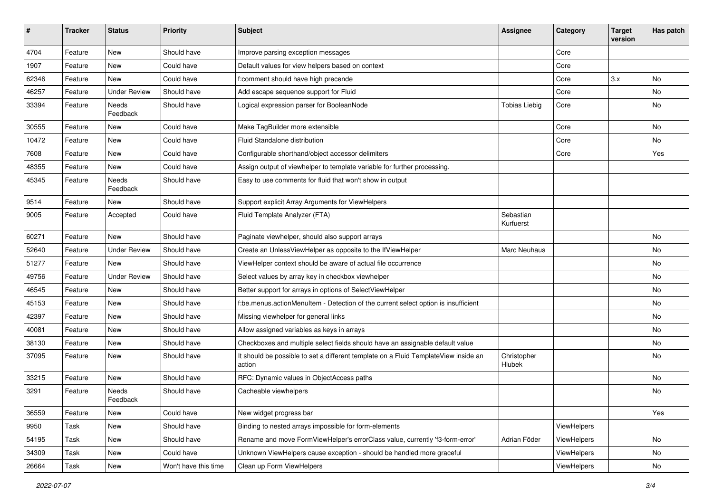| #     | <b>Tracker</b> | <b>Status</b>       | <b>Priority</b>      | Subject                                                                                       | <b>Assignee</b>        | Category    | <b>Target</b><br>version | Has patch |
|-------|----------------|---------------------|----------------------|-----------------------------------------------------------------------------------------------|------------------------|-------------|--------------------------|-----------|
| 4704  | Feature        | New                 | Should have          | Improve parsing exception messages                                                            |                        | Core        |                          |           |
| 1907  | Feature        | New                 | Could have           | Default values for view helpers based on context                                              |                        | Core        |                          |           |
| 62346 | Feature        | New                 | Could have           | f:comment should have high precende                                                           |                        | Core        | 3.x                      | No        |
| 46257 | Feature        | <b>Under Review</b> | Should have          | Add escape sequence support for Fluid                                                         |                        | Core        |                          | No        |
| 33394 | Feature        | Needs<br>Feedback   | Should have          | Logical expression parser for BooleanNode                                                     | <b>Tobias Liebig</b>   | Core        |                          | No        |
| 30555 | Feature        | New                 | Could have           | Make TagBuilder more extensible                                                               |                        | Core        |                          | No        |
| 10472 | Feature        | New                 | Could have           | Fluid Standalone distribution                                                                 |                        | Core        |                          | No        |
| 7608  | Feature        | New                 | Could have           | Configurable shorthand/object accessor delimiters                                             |                        | Core        |                          | Yes       |
| 48355 | Feature        | <b>New</b>          | Could have           | Assign output of viewhelper to template variable for further processing.                      |                        |             |                          |           |
| 45345 | Feature        | Needs<br>Feedback   | Should have          | Easy to use comments for fluid that won't show in output                                      |                        |             |                          |           |
| 9514  | Feature        | New                 | Should have          | Support explicit Array Arguments for ViewHelpers                                              |                        |             |                          |           |
| 9005  | Feature        | Accepted            | Could have           | Fluid Template Analyzer (FTA)                                                                 | Sebastian<br>Kurfuerst |             |                          |           |
| 60271 | Feature        | <b>New</b>          | Should have          | Paginate viewhelper, should also support arrays                                               |                        |             |                          | No        |
| 52640 | Feature        | <b>Under Review</b> | Should have          | Create an UnlessViewHelper as opposite to the IfViewHelper                                    | Marc Neuhaus           |             |                          | No        |
| 51277 | Feature        | New                 | Should have          | ViewHelper context should be aware of actual file occurrence                                  |                        |             |                          | No        |
| 49756 | Feature        | <b>Under Review</b> | Should have          | Select values by array key in checkbox viewhelper                                             |                        |             |                          | No        |
| 46545 | Feature        | New                 | Should have          | Better support for arrays in options of SelectViewHelper                                      |                        |             |                          | No        |
| 45153 | Feature        | New                 | Should have          | f:be.menus.actionMenuItem - Detection of the current select option is insufficient            |                        |             |                          | No        |
| 42397 | Feature        | New                 | Should have          | Missing viewhelper for general links                                                          |                        |             |                          | No        |
| 40081 | Feature        | New                 | Should have          | Allow assigned variables as keys in arrays                                                    |                        |             |                          | No        |
| 38130 | Feature        | New                 | Should have          | Checkboxes and multiple select fields should have an assignable default value                 |                        |             |                          | No        |
| 37095 | Feature        | New                 | Should have          | It should be possible to set a different template on a Fluid TemplateView inside an<br>action | Christopher<br>Hlubek  |             |                          | No        |
| 33215 | Feature        | New                 | Should have          | RFC: Dynamic values in ObjectAccess paths                                                     |                        |             |                          | No        |
| 3291  | Feature        | Needs<br>Feedback   | Should have          | Cacheable viewhelpers                                                                         |                        |             |                          | No        |
| 36559 | Feature        | New                 | Could have           | New widget progress bar                                                                       |                        |             |                          | Yes       |
| 9950  | Task           | New                 | Should have          | Binding to nested arrays impossible for form-elements                                         |                        | ViewHelpers |                          |           |
| 54195 | Task           | New                 | Should have          | Rename and move FormViewHelper's errorClass value, currently 'f3-form-error'                  | Adrian Föder           | ViewHelpers |                          | No        |
| 34309 | Task           | New                 | Could have           | Unknown ViewHelpers cause exception - should be handled more graceful                         |                        | ViewHelpers |                          | No        |
| 26664 | Task           | New                 | Won't have this time | Clean up Form ViewHelpers                                                                     |                        | ViewHelpers |                          | No        |